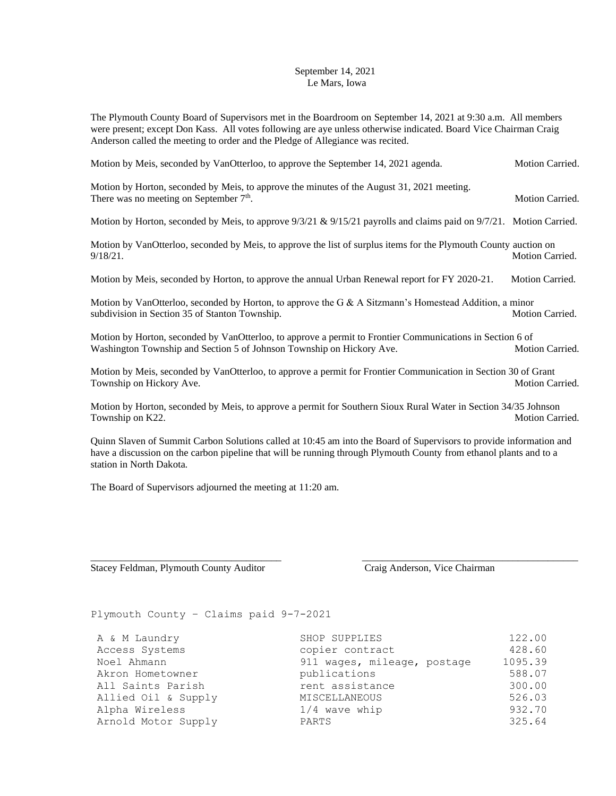## September 14, 2021 Le Mars, Iowa

The Plymouth County Board of Supervisors met in the Boardroom on September 14, 2021 at 9:30 a.m. All members were present; except Don Kass. All votes following are aye unless otherwise indicated. Board Vice Chairman Craig Anderson called the meeting to order and the Pledge of Allegiance was recited.

Motion by Meis, seconded by VanOtterloo, to approve the September 14, 2021 agenda. Motion Carried. Motion by Horton, seconded by Meis, to approve the minutes of the August 31, 2021 meeting. There was no meeting on September  $7<sup>th</sup>$ . Motion Carried. Motion by Horton, seconded by Meis, to approve  $9/3/21$  &  $9/15/21$  payrolls and claims paid on  $9/7/21$ . Motion Carried. Motion by VanOtterloo, seconded by Meis, to approve the list of surplus items for the Plymouth County auction on 9/18/21. Motion Carried. Motion by Meis, seconded by Horton, to approve the annual Urban Renewal report for FY 2020-21. Motion Carried. Motion by VanOtterloo, seconded by Horton, to approve the G  $\&$  A Sitzmann's Homestead Addition, a minor subdivision in Section 35 of Stanton Township. Motion Carried. Motion Carried. Motion by Horton, seconded by VanOtterloo, to approve a permit to Frontier Communications in Section 6 of Washington Township and Section 5 of Johnson Township on Hickory Ave. Motion Carried. Motion by Meis, seconded by VanOtterloo, to approve a permit for Frontier Communication in Section 30 of Grant

Motion by Horton, seconded by Meis, to approve a permit for Southern Sioux Rural Water in Section 34/35 Johnson Township on K22. Motion Carried.

Township on Hickory Ave. **Motion Carried.** Motion Carried.

Quinn Slaven of Summit Carbon Solutions called at 10:45 am into the Board of Supervisors to provide information and have a discussion on the carbon pipeline that will be running through Plymouth County from ethanol plants and to a station in North Dakota.

\_\_\_\_\_\_\_\_\_\_\_\_\_\_\_\_\_\_\_\_\_\_\_\_\_\_\_\_\_\_\_\_\_\_\_\_\_\_ \_\_\_\_\_\_\_\_\_\_\_\_\_\_\_\_\_\_\_\_\_\_\_\_\_\_\_\_\_\_\_\_\_\_\_\_\_\_\_\_\_\_\_

The Board of Supervisors adjourned the meeting at 11:20 am.

Stacey Feldman, Plymouth County Auditor Craig Anderson, Vice Chairman

Plymouth County – Claims paid 9-7-2021

| A & M Laundry       | SHOP SUPPLIES               | 122.00  |
|---------------------|-----------------------------|---------|
| Access Systems      | copier contract             | 428.60  |
| Noel Ahmann         | 911 wages, mileage, postage | 1095.39 |
| Akron Hometowner    | publications                | 588.07  |
| All Saints Parish   | rent assistance             | 300.00  |
| Allied Oil & Supply | <b>MISCELLANEOUS</b>        | 526.03  |
| Alpha Wireless      | $1/4$ wave whip             | 932.70  |
| Arnold Motor Supply | PARTS                       | 325.64  |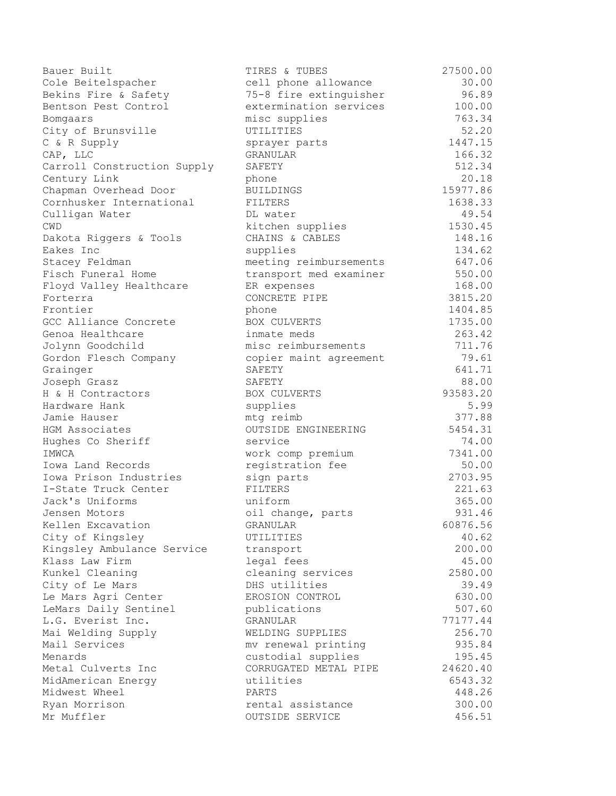| Bauer Built                 | TIRES & TUBES          | 27500.00 |
|-----------------------------|------------------------|----------|
| Cole Beitelspacher          | cell phone allowance   | 30.00    |
| Bekins Fire & Safety        | 75-8 fire extinguisher | 96.89    |
| Bentson Pest Control        | extermination services | 100.00   |
| Bomgaars                    | misc supplies          | 763.34   |
| City of Brunsville          | UTILITIES              | 52.20    |
| C & R Supply                | sprayer parts          | 1447.15  |
| CAP, LLC                    | <b>GRANULAR</b>        | 166.32   |
| Carroll Construction Supply | SAFETY                 | 512.34   |
| Century Link                | phone                  | 20.18    |
| Chapman Overhead Door       | <b>BUILDINGS</b>       | 15977.86 |
| Cornhusker International    | FILTERS                | 1638.33  |
| Culligan Water              | DL water               | 49.54    |
| CWD                         | kitchen supplies       | 1530.45  |
| Dakota Riggers & Tools      | CHAINS & CABLES        | 148.16   |
| Eakes Inc                   | supplies               | 134.62   |
| Stacey Feldman              | meeting reimbursements | 647.06   |
| Fisch Funeral Home          | transport med examiner | 550.00   |
| Floyd Valley Healthcare     | ER expenses            | 168.00   |
| Forterra                    | CONCRETE PIPE          | 3815.20  |
| Frontier                    | phone                  | 1404.85  |
| GCC Alliance Concrete       | BOX CULVERTS           | 1735.00  |
| Genoa Healthcare            | inmate meds            | 263.42   |
| Jolynn Goodchild            | misc reimbursements    | 711.76   |
| Gordon Flesch Company       | copier maint agreement | 79.61    |
| Grainger                    | SAFETY                 | 641.71   |
| Joseph Grasz                | SAFETY                 | 88.00    |
| H & H Contractors           | BOX CULVERTS           | 93583.20 |
| Hardware Hank               | supplies               | 5.99     |
| Jamie Hauser                | mtg reimb              | 377.88   |
| HGM Associates              | OUTSIDE ENGINEERING    | 5454.31  |
| Hughes Co Sheriff           | service                | 74.00    |
| IMWCA                       | work comp premium      | 7341.00  |
| Iowa Land Records           | registration fee       | 50.00    |
| Iowa Prison Industries      | sign parts             | 2703.95  |
| I-State Truck Center        | FILTERS                | 221.63   |
| Jack's Uniforms             | uniform                | 365.00   |
| Jensen Motors               | oil change, parts      | 931.46   |
| Kellen Excavation           | GRANULAR               | 60876.56 |
| City of Kingsley            | UTILITIES              | 40.62    |
| Kingsley Ambulance Service  | transport              | 200.00   |
| Klass Law Firm              | legal fees             | 45.00    |
| Kunkel Cleaning             | cleaning services      | 2580.00  |
| City of Le Mars             | DHS utilities          | 39.49    |
| Le Mars Agri Center         | EROSION CONTROL        | 630.00   |
| LeMars Daily Sentinel       | publications           | 507.60   |
| L.G. Everist Inc.           | <b>GRANULAR</b>        | 77177.44 |
| Mai Welding Supply          | WELDING SUPPLIES       | 256.70   |
| Mail Services               | mv renewal printing    | 935.84   |
| Menards                     | custodial supplies     | 195.45   |
| Metal Culverts Inc          | CORRUGATED METAL PIPE  | 24620.40 |
| MidAmerican Energy          | utilities              | 6543.32  |
| Midwest Wheel               | PARTS                  | 448.26   |
| Ryan Morrison               | rental assistance      | 300.00   |
| Mr Muffler                  | OUTSIDE SERVICE        | 456.51   |
|                             |                        |          |